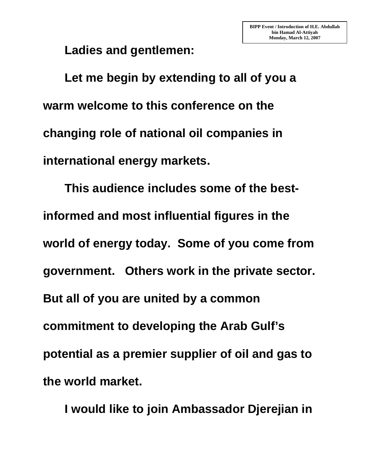**Ladies and gentlemen:** 

 **Let me begin by extending to all of you a warm welcome to this conference on the changing role of national oil companies in international energy markets.** 

 **This audience includes some of the bestinformed and most influential figures in the world of energy today. Some of you come from government. Others work in the private sector. But all of you are united by a common commitment to developing the Arab Gulf's potential as a premier supplier of oil and gas to the world market.** 

 **I would like to join Ambassador Djerejian in**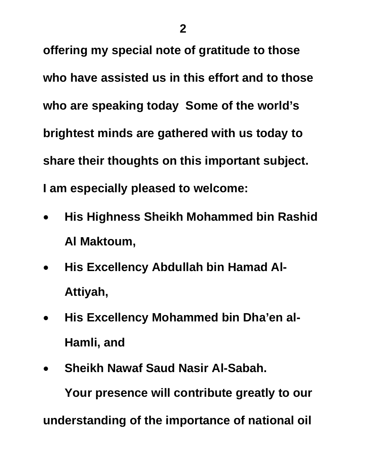**offering my special note of gratitude to those who have assisted us in this effort and to those who are speaking today Some of the world's brightest minds are gathered with us today to share their thoughts on this important subject. I am especially pleased to welcome:** 

- **His Highness Sheikh Mohammed bin Rashid Al Maktoum,**
- **His Excellency Abdullah bin Hamad Al-Attiyah,**
- **His Excellency Mohammed bin Dha'en al-Hamli, and**
- **Sheikh Nawaf Saud Nasir Al-Sabah.**

 **Your presence will contribute greatly to our understanding of the importance of national oil**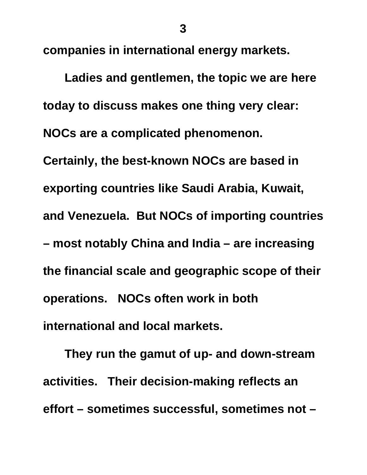**companies in international energy markets.** 

 **Ladies and gentlemen, the topic we are here today to discuss makes one thing very clear: NOCs are a complicated phenomenon. Certainly, the best-known NOCs are based in exporting countries like Saudi Arabia, Kuwait, and Venezuela. But NOCs of importing countries – most notably China and India – are increasing the financial scale and geographic scope of their operations. NOCs often work in both international and local markets.** 

 **They run the gamut of up- and down-stream activities. Their decision-making reflects an effort – sometimes successful, sometimes not –**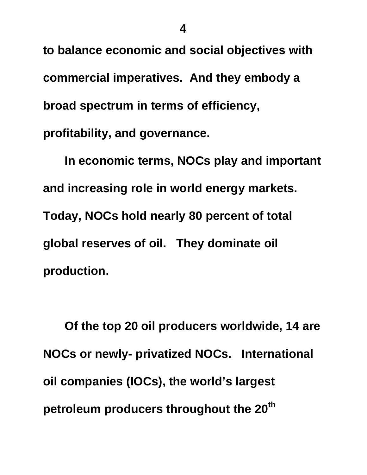**to balance economic and social objectives with commercial imperatives. And they embody a broad spectrum in terms of efficiency, profitability, and governance.** 

 **In economic terms, NOCs play and important and increasing role in world energy markets. Today, NOCs hold nearly 80 percent of total global reserves of oil. They dominate oil production.** 

 **Of the top 20 oil producers worldwide, 14 are NOCs or newly- privatized NOCs. International oil companies (IOCs), the world's largest petroleum producers throughout the 20th**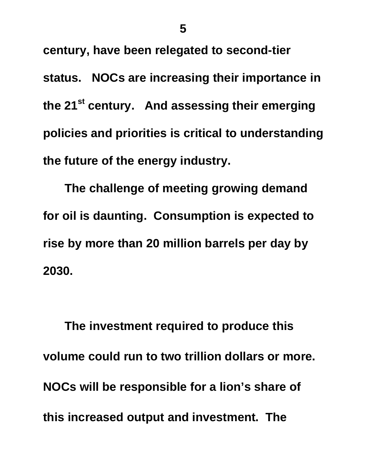**century, have been relegated to second-tier status. NOCs are increasing their importance in the 21st century. And assessing their emerging policies and priorities is critical to understanding the future of the energy industry.** 

**The challenge of meeting growing demand for oil is daunting. Consumption is expected to rise by more than 20 million barrels per day by 2030.** 

 **The investment required to produce this volume could run to two trillion dollars or more. NOCs will be responsible for a lion's share of this increased output and investment. The**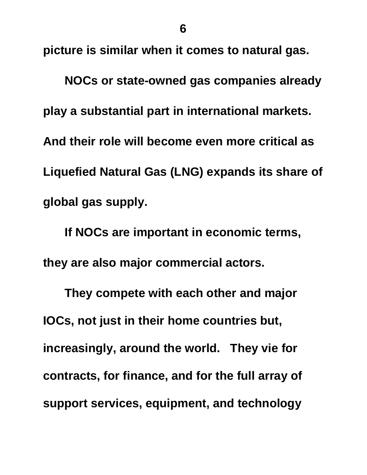**picture is similar when it comes to natural gas.** 

 **NOCs or state-owned gas companies already play a substantial part in international markets. And their role will become even more critical as Liquefied Natural Gas (LNG) expands its share of global gas supply.** 

 **If NOCs are important in economic terms, they are also major commercial actors.** 

 **They compete with each other and major IOCs, not just in their home countries but, increasingly, around the world. They vie for contracts, for finance, and for the full array of support services, equipment, and technology**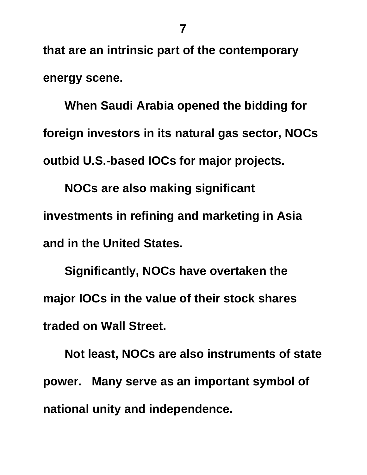**that are an intrinsic part of the contemporary energy scene.** 

 **When Saudi Arabia opened the bidding for foreign investors in its natural gas sector, NOCs outbid U.S.-based IOCs for major projects.** 

 **NOCs are also making significant investments in refining and marketing in Asia and in the United States.** 

 **Significantly, NOCs have overtaken the major IOCs in the value of their stock shares traded on Wall Street.** 

 **Not least, NOCs are also instruments of state power. Many serve as an important symbol of national unity and independence.**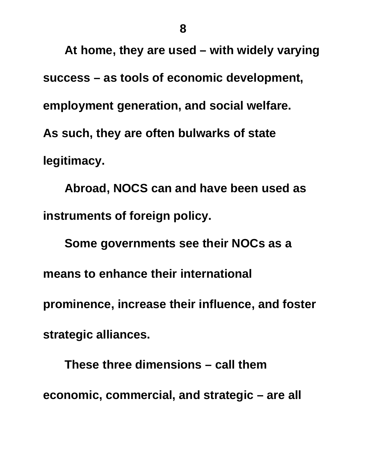**At home, they are used – with widely varying success – as tools of economic development, employment generation, and social welfare. As such, they are often bulwarks of state legitimacy.** 

 **Abroad, NOCS can and have been used as instruments of foreign policy.** 

 **Some governments see their NOCs as a means to enhance their international prominence, increase their influence, and foster strategic alliances.** 

 **These three dimensions – call them economic, commercial, and strategic – are all**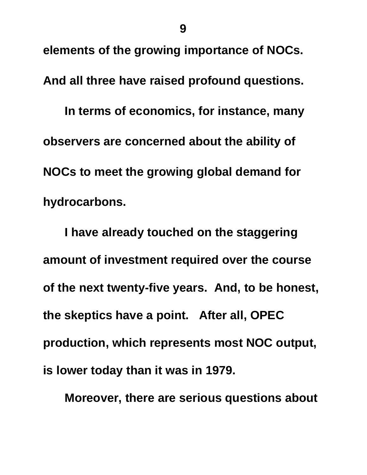**elements of the growing importance of NOCs.** 

**And all three have raised profound questions.** 

 **In terms of economics, for instance, many observers are concerned about the ability of NOCs to meet the growing global demand for hydrocarbons.** 

 **I have already touched on the staggering amount of investment required over the course of the next twenty-five years. And, to be honest, the skeptics have a point. After all, OPEC production, which represents most NOC output, is lower today than it was in 1979.** 

 **Moreover, there are serious questions about**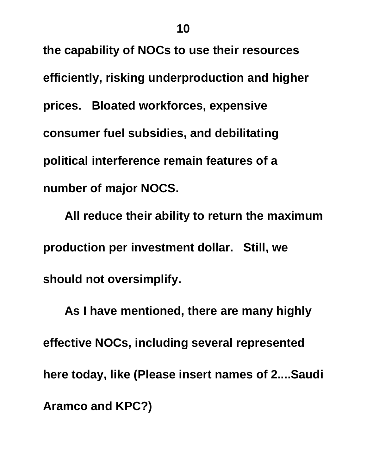**the capability of NOCs to use their resources efficiently, risking underproduction and higher prices. Bloated workforces, expensive consumer fuel subsidies, and debilitating political interference remain features of a number of major NOCS.** 

 **All reduce their ability to return the maximum production per investment dollar. Still, we should not oversimplify.** 

 **As I have mentioned, there are many highly effective NOCs, including several represented here today, like (Please insert names of 2....Saudi Aramco and KPC?)**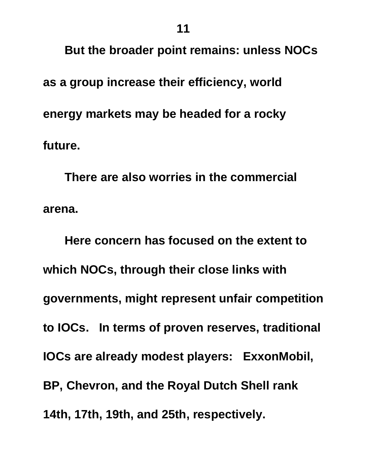**But the broader point remains: unless NOCs as a group increase their efficiency, world energy markets may be headed for a rocky future.** 

 **There are also worries in the commercial arena.** 

 **Here concern has focused on the extent to which NOCs, through their close links with governments, might represent unfair competition to IOCs. In terms of proven reserves, traditional IOCs are already modest players: ExxonMobil, BP, Chevron, and the Royal Dutch Shell rank 14th, 17th, 19th, and 25th, respectively.**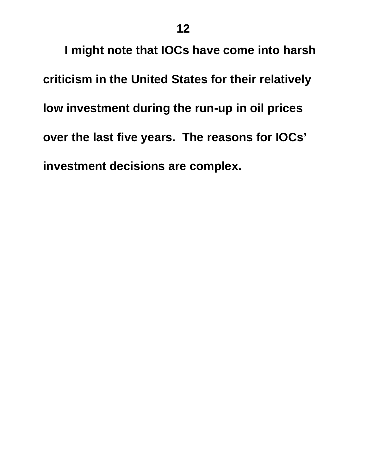**I might note that IOCs have come into harsh criticism in the United States for their relatively low investment during the run-up in oil prices over the last five years. The reasons for IOCs' investment decisions are complex.**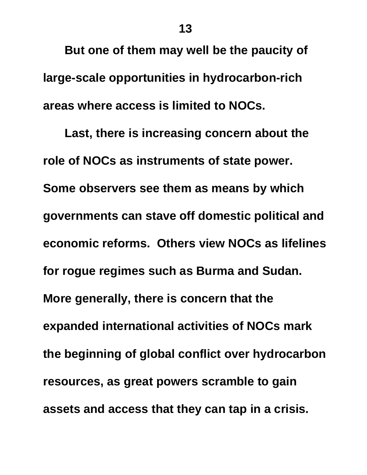**But one of them may well be the paucity of large-scale opportunities in hydrocarbon-rich areas where access is limited to NOCs.** 

 **Last, there is increasing concern about the role of NOCs as instruments of state power. Some observers see them as means by which governments can stave off domestic political and economic reforms. Others view NOCs as lifelines for rogue regimes such as Burma and Sudan. More generally, there is concern that the expanded international activities of NOCs mark the beginning of global conflict over hydrocarbon resources, as great powers scramble to gain assets and access that they can tap in a crisis.**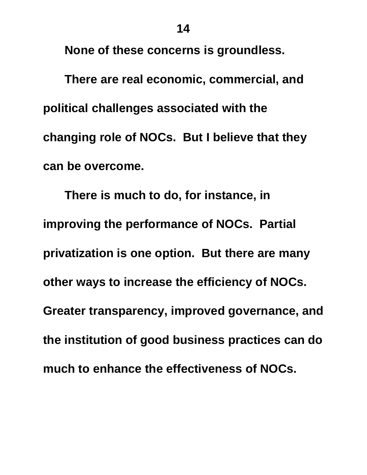**None of these concerns is groundless.** 

 **There are real economic, commercial, and political challenges associated with the changing role of NOCs. But I believe that they can be overcome.** 

 **There is much to do, for instance, in improving the performance of NOCs. Partial privatization is one option. But there are many other ways to increase the efficiency of NOCs. Greater transparency, improved governance, and the institution of good business practices can do much to enhance the effectiveness of NOCs.**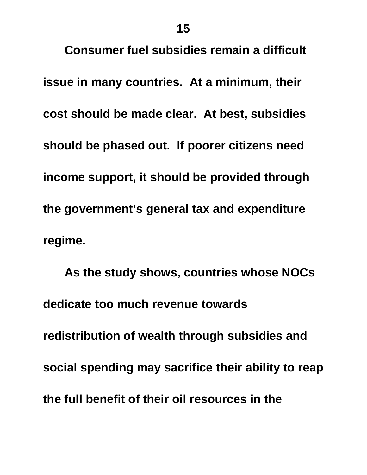**Consumer fuel subsidies remain a difficult issue in many countries. At a minimum, their cost should be made clear. At best, subsidies should be phased out. If poorer citizens need income support, it should be provided through the government's general tax and expenditure regime.** 

 **As the study shows, countries whose NOCs dedicate too much revenue towards redistribution of wealth through subsidies and social spending may sacrifice their ability to reap the full benefit of their oil resources in the**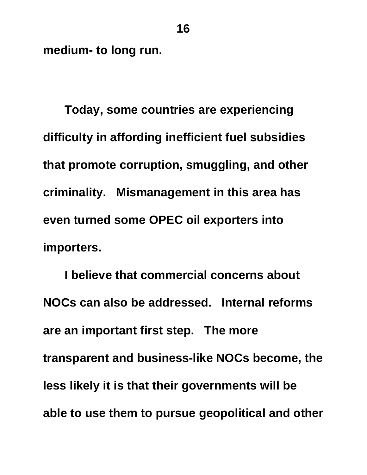**medium- to long run.** 

 **Today, some countries are experiencing difficulty in affording inefficient fuel subsidies that promote corruption, smuggling, and other criminality. Mismanagement in this area has even turned some OPEC oil exporters into importers.** 

 **I believe that commercial concerns about NOCs can also be addressed. Internal reforms are an important first step. The more transparent and business-like NOCs become, the less likely it is that their governments will be able to use them to pursue geopolitical and other**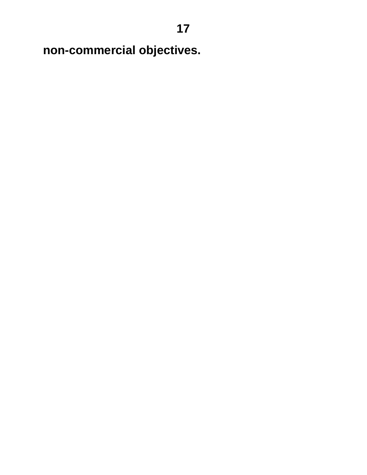**non-commercial objectives.**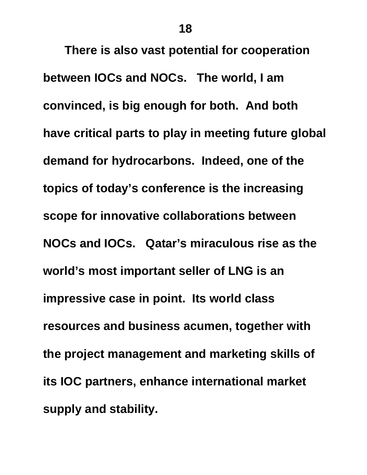**There is also vast potential for cooperation between IOCs and NOCs. The world, I am convinced, is big enough for both. And both have critical parts to play in meeting future global demand for hydrocarbons. Indeed, one of the topics of today's conference is the increasing scope for innovative collaborations between NOCs and IOCs. Qatar's miraculous rise as the world's most important seller of LNG is an impressive case in point. Its world class resources and business acumen, together with the project management and marketing skills of its IOC partners, enhance international market supply and stability.**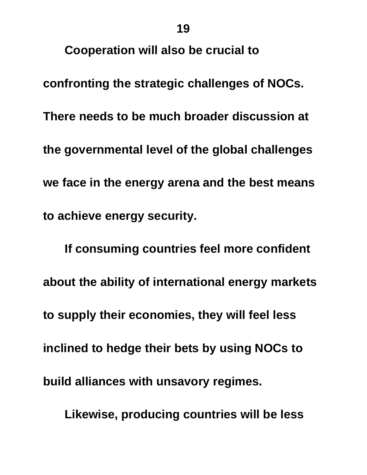**Cooperation will also be crucial to** 

**confronting the strategic challenges of NOCs. There needs to be much broader discussion at the governmental level of the global challenges we face in the energy arena and the best means to achieve energy security.** 

 **If consuming countries feel more confident about the ability of international energy markets to supply their economies, they will feel less inclined to hedge their bets by using NOCs to build alliances with unsavory regimes.** 

 **Likewise, producing countries will be less**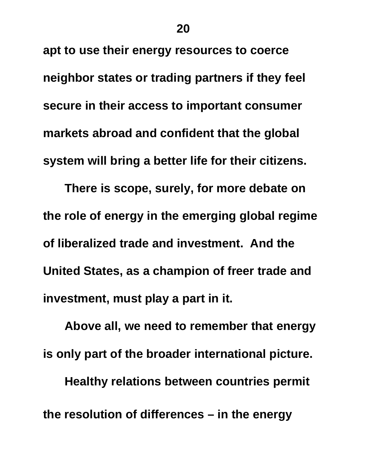**apt to use their energy resources to coerce neighbor states or trading partners if they feel secure in their access to important consumer markets abroad and confident that the global system will bring a better life for their citizens.** 

 **There is scope, surely, for more debate on the role of energy in the emerging global regime of liberalized trade and investment. And the United States, as a champion of freer trade and investment, must play a part in it.** 

**Above all, we need to remember that energy is only part of the broader international picture. Healthy relations between countries permit the resolution of differences – in the energy**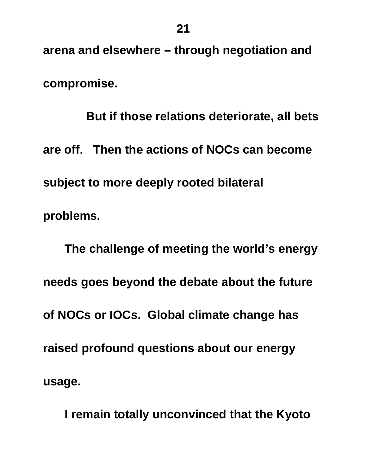**arena and elsewhere – through negotiation and compromise.** 

 **But if those relations deteriorate, all bets are off. Then the actions of NOCs can become subject to more deeply rooted bilateral problems.** 

 **The challenge of meeting the world's energy needs goes beyond the debate about the future of NOCs or IOCs. Global climate change has raised profound questions about our energy usage.** 

 **I remain totally unconvinced that the Kyoto**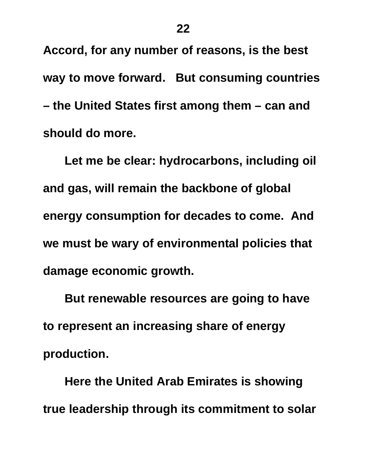**Accord, for any number of reasons, is the best way to move forward. But consuming countries – the United States first among them – can and should do more.** 

 **Let me be clear: hydrocarbons, including oil and gas, will remain the backbone of global energy consumption for decades to come. And we must be wary of environmental policies that damage economic growth.** 

 **But renewable resources are going to have to represent an increasing share of energy production.** 

 **Here the United Arab Emirates is showing true leadership through its commitment to solar**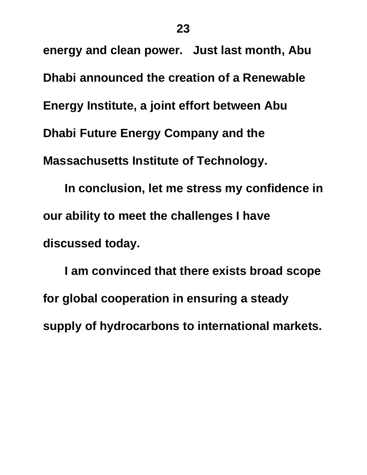**energy and clean power. Just last month, Abu Dhabi announced the creation of a Renewable Energy Institute, a joint effort between Abu Dhabi Future Energy Company and the Massachusetts Institute of Technology.** 

 **In conclusion, let me stress my confidence in our ability to meet the challenges I have discussed today.** 

 **I am convinced that there exists broad scope for global cooperation in ensuring a steady supply of hydrocarbons to international markets.**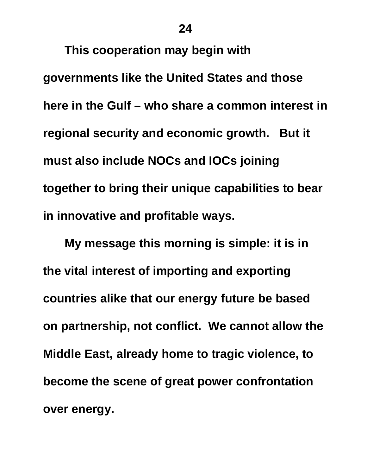**24** 

 **This cooperation may begin with** 

**governments like the United States and those here in the Gulf – who share a common interest in regional security and economic growth. But it must also include NOCs and IOCs joining together to bring their unique capabilities to bear in innovative and profitable ways.** 

 **My message this morning is simple: it is in the vital interest of importing and exporting countries alike that our energy future be based on partnership, not conflict. We cannot allow the Middle East, already home to tragic violence, to become the scene of great power confrontation over energy.**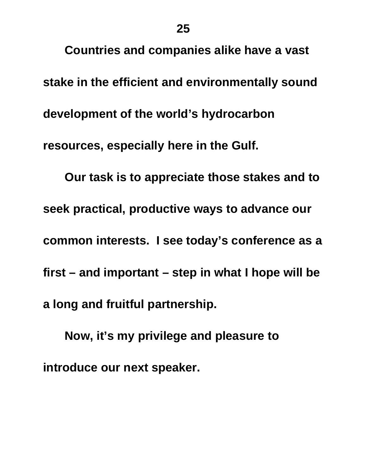**Countries and companies alike have a vast stake in the efficient and environmentally sound development of the world's hydrocarbon resources, especially here in the Gulf. Our task is to appreciate those stakes and to seek practical, productive ways to advance our common interests. I see today's conference as a first – and important – step in what I hope will be** 

**a long and fruitful partnership.** 

 **Now, it's my privilege and pleasure to introduce our next speaker.**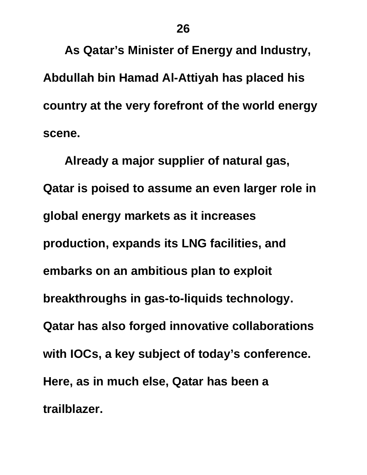**As Qatar's Minister of Energy and Industry, Abdullah bin Hamad Al-Attiyah has placed his country at the very forefront of the world energy scene.** 

 **Already a major supplier of natural gas, Qatar is poised to assume an even larger role in global energy markets as it increases production, expands its LNG facilities, and embarks on an ambitious plan to exploit breakthroughs in gas-to-liquids technology. Qatar has also forged innovative collaborations with IOCs, a key subject of today's conference. Here, as in much else, Qatar has been a trailblazer.**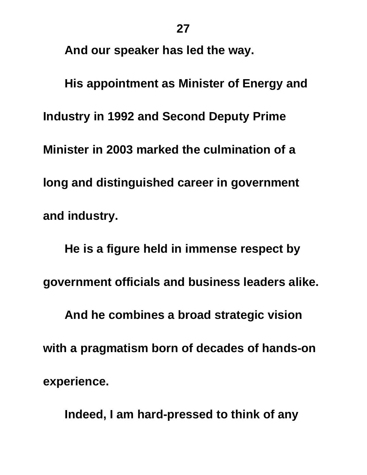**And our speaker has led the way.** 

 **His appointment as Minister of Energy and Industry in 1992 and Second Deputy Prime Minister in 2003 marked the culmination of a long and distinguished career in government and industry.** 

 **He is a figure held in immense respect by government officials and business leaders alike. And he combines a broad strategic vision with a pragmatism born of decades of hands-on experience.** 

 **Indeed, I am hard-pressed to think of any**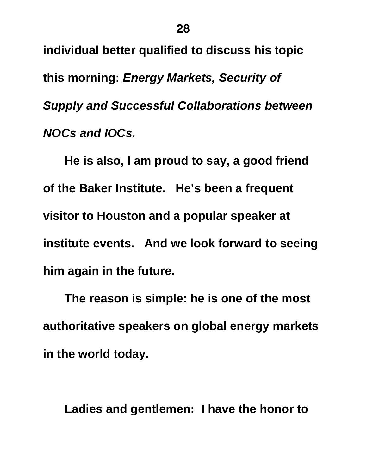**individual better qualified to discuss his topic this morning:** *Energy Markets, Security of Supply and Successful Collaborations between NOCs and IOCs.* 

 **He is also, I am proud to say, a good friend of the Baker Institute. He's been a frequent visitor to Houston and a popular speaker at institute events. And we look forward to seeing him again in the future.** 

 **The reason is simple: he is one of the most authoritative speakers on global energy markets in the world today.** 

 **Ladies and gentlemen: I have the honor to**